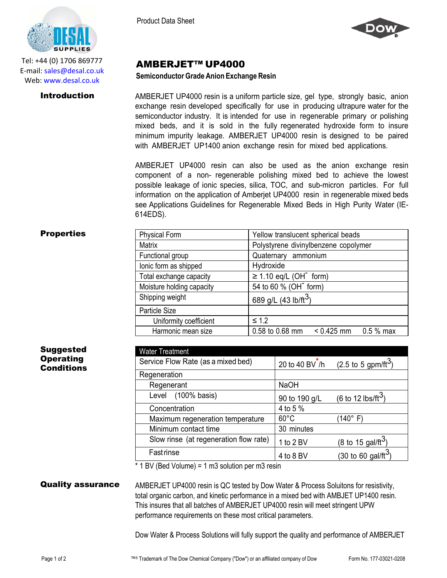

Tel: +44 (0) 1706 869777 E‐mail: sales@desal.co.uk Web: www.desal.co.uk

Product Data Sheet



# AMBERJET™ UP4000

### **Semiconductor Grade Anion Exchange Resin**

**Introduction** AMBERJET UP4000 resin is a uniform particle size, gel type, strongly basic, anion exchange resin developed specifically for use in producing ultrapure water for the semiconductor industry. It is intended for use in regenerable primary or polishing mixed beds, and it is sold in the fully regenerated hydroxide form to insure minimum impurity leakage. AMBERJET UP4000 resin is designed to be paired with AMBERJET UP1400 anion exchange resin for mixed bed applications.

> AMBERJET UP4000 resin can also be used as the anion exchange resin component of a non- regenerable polishing mixed bed to achieve the lowest possible leakage of ionic species, silica, TOC, and sub-micron particles. For full information on the application of Amberjet UP4000 resin in regenerable mixed beds see Applications Guidelines for Regenerable Mixed Beds in High Purity Water (IE-614EDS).

## **Properties**

| <b>Physical Form</b>      | Yellow translucent spherical beads            |  |  |
|---------------------------|-----------------------------------------------|--|--|
| <b>Matrix</b>             | Polystyrene divinylbenzene copolymer          |  |  |
| Functional group          | Quaternary ammonium                           |  |  |
| lonic form as shipped     | Hydroxide                                     |  |  |
| Total exchange capacity   | $\geq$ 1.10 eq/L (OH <sup>-</sup> form)       |  |  |
| Moisture holding capacity | 54 to 60 % (OH <sup>-</sup> form)             |  |  |
| Shipping weight           | 689 g/L (43 lb/ft <sup>3</sup> )              |  |  |
| Particle Size             |                                               |  |  |
| Uniformity coefficient    | $\leq 1.2$                                    |  |  |
| Harmonic mean size        | $< 0.425$ mm<br>0.58 to 0.68 mm<br>$0.5%$ max |  |  |

| <b>Suggested</b> |
|------------------|
| <b>Operating</b> |
| Conditions       |

| <b>Water Treatment</b>                 |                |                                        |
|----------------------------------------|----------------|----------------------------------------|
| Service Flow Rate (as a mixed bed)     | 20 to 40 BV /h | $(2.5 \text{ to } 5 \text{ gpm/ft}^3)$ |
| Regeneration                           |                |                                        |
| Regenerant                             | <b>NaOH</b>    |                                        |
| Level (100% basis)                     | 90 to 190 g/L  | (6 to 12 lbs/ft <sup>3</sup> )         |
| Concentration                          | 4 to 5 %       |                                        |
| Maximum regeneration temperature       | $60^{\circ}$ C | (140° F)                               |
| Minimum contact time                   | 30 minutes     |                                        |
| Slow rinse (at regeneration flow rate) | 1 to 2 BV      | (8 to 15 gal/ft <sup>3</sup> )         |
| <b>Fast rinse</b>                      | 4 to 8 BV      | (30 to 60 gal/ft <sup>3</sup>          |

\* 1 BV (Bed Volume) = 1 m3 solution per m3 resin

**Quality assurance** AMBERJET UP4000 resin is QC tested by Dow Water & Process Soluitons for resistivity, total organic carbon, and kinetic performance in a mixed bed with AMBJET UP1400 resin. This insures that all batches of AMBERJET UP4000 resin will meet stringent UPW performance requirements on these most critical parameters.

Dow Water & Process Solutions will fully support the quality and performance of AMBERJET